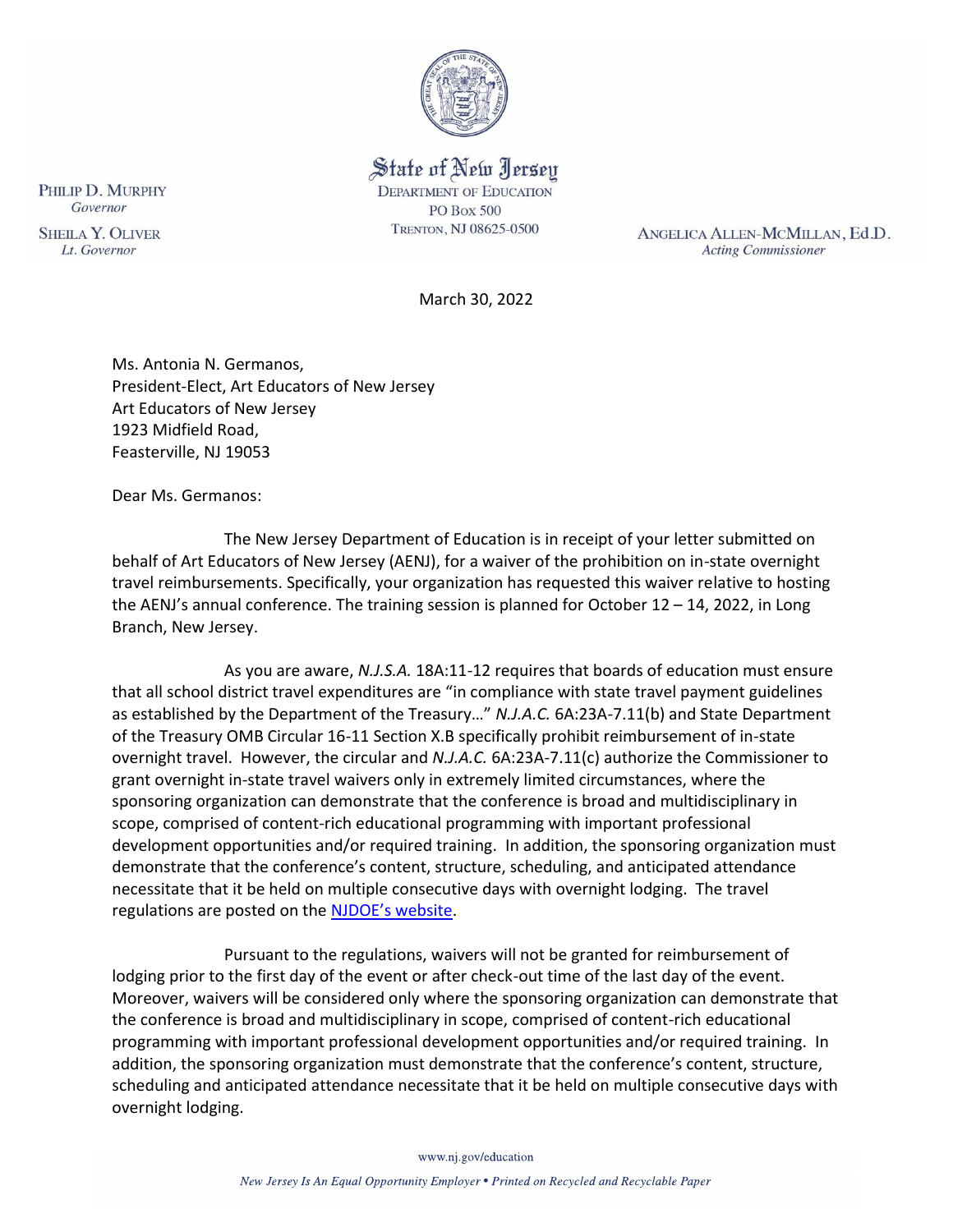

State of New Jersey **DEPARTMENT OF EDUCATION PO Box 500** TRENTON, NJ 08625-0500

ANGELICA ALLEN-MCMILLAN, Ed.D. **Acting Commissioner** 

March 30, 2022

Ms. Antonia N. Germanos, President-Elect, Art Educators of New Jersey Art Educators of New Jersey 1923 Midfield Road, Feasterville, NJ 19053

Dear Ms. Germanos:

The New Jersey Department of Education is in receipt of your letter submitted on behalf of Art Educators of New Jersey (AENJ), for a waiver of the prohibition on in-state overnight travel reimbursements. Specifically, your organization has requested this waiver relative to hosting the AENJ's annual conference. The training session is planned for October  $12 - 14$ , 2022, in Long Branch, New Jersey.

As you are aware, *N.J.S.A.* 18A:11-12 requires that boards of education must ensure that all school district travel expenditures are "in compliance with state travel payment guidelines as established by the Department of the Treasury…" *N.J.A.C.* 6A:23A-7.11(b) and State Department of the Treasury OMB Circular 16-11 Section X.B specifically prohibit reimbursement of in-state overnight travel. However, the circular and *N.J.A.C.* 6A:23A-7.11(c) authorize the Commissioner to grant overnight in-state travel waivers only in extremely limited circumstances, where the sponsoring organization can demonstrate that the conference is broad and multidisciplinary in scope, comprised of content-rich educational programming with important professional development opportunities and/or required training. In addition, the sponsoring organization must demonstrate that the conference's content, structure, scheduling, and anticipated attendance necessitate that it be held on multiple consecutive days with overnight lodging. The travel regulations are posted on the [NJDOE's website](http://www.state.nj.us/education/code/current/title6a/chap23a.pdf).

Pursuant to the regulations, waivers will not be granted for reimbursement of lodging prior to the first day of the event or after check-out time of the last day of the event. Moreover, waivers will be considered only where the sponsoring organization can demonstrate that the conference is broad and multidisciplinary in scope, comprised of content-rich educational programming with important professional development opportunities and/or required training. In addition, the sponsoring organization must demonstrate that the conference's content, structure, scheduling and anticipated attendance necessitate that it be held on multiple consecutive days with overnight lodging.

PHILIP D. MURPHY Governor

**SHEILA Y. OLIVER** Lt. Governor